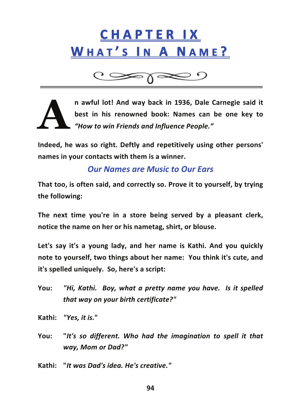# **C H A P T E R 
 I X 
 WHAT'S IN A NAME?**

**n awful lot! And way back in 1936, Dale Carnegie said it best in his renowned book: Names can be one key to** *"How to win Friends and Influence People."* **A**

**Indeed, he was so right. Deftly and repetitively using other persons' names in your contacts with them is a winner.**

## *Our Names are Music to Our Ears*

**That too, is often said, and correctly so. Prove it to yourself, by trying the following:**

**The next time you're in a store being served by a pleasant clerk, notice the name on her or his nametag, shirt, or blouse.**

**Let's say it's a young lady, and her name is Kathi. And you quickly note to yourself, two things about her name: 

 You think it's cute, and it's spelled uniquely. 

 So, here's a script:**

You: "Hi, Kathi. Boy, what a pretty name you have. Is it spelled *that way on your birth certificate?"*

**Kathi:** *"Yes, it is.***"**

**You: "***It's so different. Who had the imagination to spell it that way, Mom or Dad?"*

**Kathi: "***It was Dad's idea. He's creative."*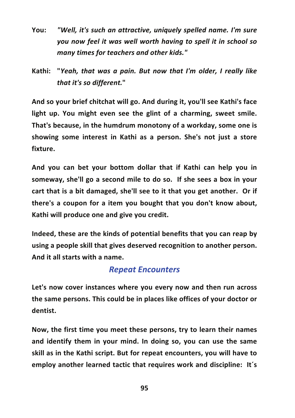- **You:** *"Well, it's such an attractive, uniquely spelled name. I'm sure you now feel it was well worth having to spell it in school so many times for teachers and other kids."*
- **Kathi: "***Yeah, that was a pain. But now that I'm older, I really like that it's so different.***"**

**And so your brief chitchat will go. And during it, you'll see Kathi's face light up. You might even see the glint of a charming, sweet smile. That's because, in the humdrum monotony of a workday, some one is showing some interest in Kathi as a person. She's not just a store fixture.**

**And you can bet your bottom dollar that if Kathi can help you in someway, she'll go a second mile to do so. 

 If she sees a box in your cart that is a bit damaged, she'll see to it that you get another. 

 Or if there's a coupon for a item you bought that you don't know about, Kathi will produce one and give you credit.**

**Indeed, these are the kinds of potential benefits that you can reap by using a people skill that gives deserved recognition to another person. 

 And it all starts with a name.**

### *Repeat Encounters*

**Let's now cover instances where you every now and then run across the same persons. This could be in places like offices of your doctor or dentist.**

**Now, the first time you meet these persons, try to learn their names and identify them in your mind. In doing so, you can use the same skill as in the Kathi script. But for repeat encounters, you will have to employ another learned tactic that requires work and discipline: It´s**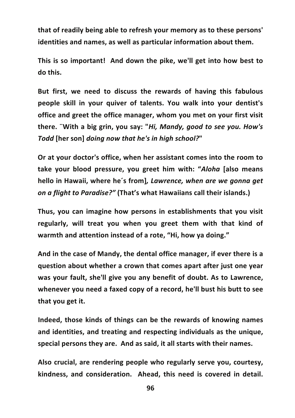**that of readily being able to refresh your memory as to these persons' identities and names, as well as particular information about them.**

**This is so important! 

 And down the pike, we'll get into how best to do this.**

**But first, we need to discuss the rewards of having this fabulous people skill in your quiver of talents. You walk into your dentist's office and greet the office manager, whom you met on your first visit there. ¨With a big grin, you say: "***Hi, Mandy, good to see you. How's Todd* **[her son]** *doing now that he's in high school?***"** 

**Or at your doctor's office, when her assistant comes into the room to take your blood pressure, you greet him with: "***Aloha* **[also means hello in Hawaii, where he´s from]***, Lawrence, when are we gonna get on a flight to Paradise?"* **(That's what Hawaiians call their islands.)**

**Thus, you can imagine how persons in establishments that you visit regularly, will treat you when you greet them with that kind of warmth and attention instead of a rote, "Hi, how ya doing."** 

**And in the case of Mandy, the dental office manager, if ever there is a question about whether a crown that comes apart after just one year was your fault, she'll give you any benefit of doubt. As to Lawrence, whenever you need a faxed copy of a record, he'll bust his butt to see that you get it.**

**Indeed, those kinds of things can be the rewards of knowing names and identities, and treating and respecting individuals as the unique,** special persons they are. And as said, it all starts with their names.

**Also crucial, are rendering people who regularly serve you, courtesy,**  $k$  indness, and consideration. Ahead, this need is covered in detail.

**96**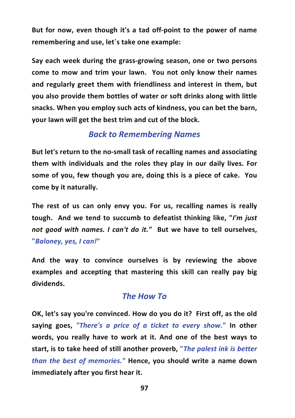**But for now, even though it's a tad off-‐point to the power of name remembering and use, let´s take one example:**

**Say each week during the grass-‐growing season, one or two persons come to mow and trim your lawn. 

 You not only know their names and regularly greet them with friendliness and interest in them, but you also provide them bottles of water or soft drinks along with little snacks. When you employ such acts of kindness, you can bet the barn, your lawn will get the best trim and cut of the block.**

### *Back to Remembering Names*

**But let's return to the no-‐small task of recalling names and associating them with individuals and the roles they play in our daily lives. For some of you, few though you are, doing this is a piece of cake. 

 You come by it naturally.**

**The rest of us can only envy you. For us, recalling names is really tough. 

 And we tend to succumb to defeatist thinking like, "***I'm just not good with names. I can't do it."* **But we have to tell ourselves, "***Baloney, yes, I can!***"**

**And the way to convince ourselves is by reviewing the above examples and accepting that mastering this skill can really pay big dividends.**

### *The How To*

**OK, let's say you're convinced. How do you do it? 

 First off, as the old saying goes,** *"There's a price of a ticket to every show.***" In other words, you really have to work at it. And one of the best ways to start, is to take heed of still another proverb, "***The palest ink is better than the best of memories."* **Hence, you should write a name down immediately after you first hear it.**

**97**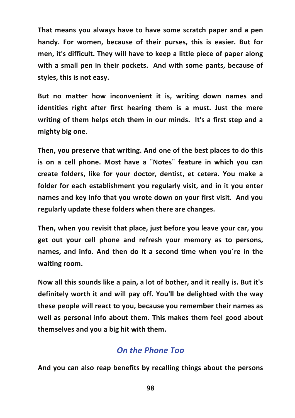**That means you always have to have some scratch paper and a pen handy. For women, because of their purses, this is easier. But for men, it's difficult. They will have to keep a little piece of paper along with a small pen in their pockets. 

 And with some pants, because of styles, this is not easy.**

**But no matter how inconvenient it is, writing down names and identities right after first hearing them is a must. Just the mere writing of them helps etch them in our minds. 

 It's a first step and a mighty big one.**

**Then, you preserve that writing. And one of the best places to do this is on a cell phone. Most have a ¨Notes¨ feature in which you can create folders, like for your doctor, dentist, et cetera. You make a folder for each establishment you regularly visit, and in it you enter names and key info that you wrote down on your first visit. 

 And you regularly update these folders when there are changes.**

**Then, when you revisit that place, just before you leave your car, you get out your cell phone and refresh your memory as to persons, names, and info. And then do it a second time when you´re in the** waiting room.

**Now all this sounds like a pain, a lot of bother, and it really is. But it's definitely worth it and will pay off. You'll be delighted with the way these people will react to you, because you remember their names as well as personal info about them. This makes them feel good about themselves and you a big hit with them.**

#### *On the Phone Too*

**And you can also reap benefits by recalling things about the persons**